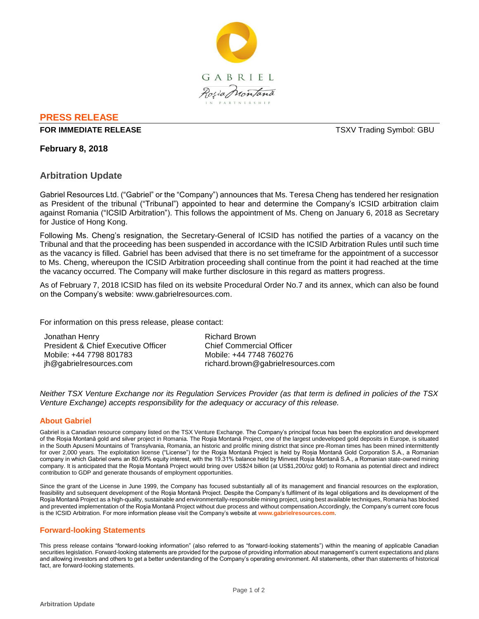

# **PRESS RELEASE**

#### **FOR IMMEDIATE RELEASE THE SECOND STATE SERVICES ASSESSED ASSESSED AT A SERVICE SERVICE SERVICES**

### **February 8, 2018**

## **Arbitration Update**

Gabriel Resources Ltd. ("Gabriel" or the "Company") announces that Ms. Teresa Cheng has tendered her resignation as President of the tribunal ("Tribunal") appointed to hear and determine the Company's ICSID arbitration claim against Romania ("ICSID Arbitration"). This follows the appointment of Ms. Cheng on January 6, 2018 as Secretary for Justice of Hong Kong.

Following Ms. Cheng's resignation, the Secretary-General of ICSID has notified the parties of a vacancy on the Tribunal and that the proceeding has been suspended in accordance with the ICSID Arbitration Rules until such time as the vacancy is filled. Gabriel has been advised that there is no set timeframe for the appointment of a successor to Ms. Cheng, whereupon the ICSID Arbitration proceeding shall continue from the point it had reached at the time the vacancy occurred. The Company will make further disclosure in this regard as matters progress.

As of February 7, 2018 ICSID has filed on its website Procedural Order No.7 and its annex, which can also be found on the Company's website: www.gabrielresources.com.

For information on this press release, please contact:

| Jonathan Henry                      | Richard Brown                      |
|-------------------------------------|------------------------------------|
| President & Chief Executive Officer | <b>Chief Commercial Officer</b>    |
| Mobile: +44 7798 801783             | Mobile: +44 7748 760276            |
| jh@gabrielresources.com             | richard.brown@gabrielresources.com |

*Neither TSX Venture Exchange nor its Regulation Services Provider (as that term is defined in policies of the TSX Venture Exchange) accepts responsibility for the adequacy or accuracy of this release.*

### **About Gabriel**

Gabriel is a Canadian resource company listed on the TSX Venture Exchange. The Company's principal focus has been the exploration and development of the Roșia Montană gold and silver project in Romania. The Roşia Montană Project, one of the largest undeveloped gold deposits in Europe, is situated in the South Apuseni Mountains of Transylvania, Romania, an historic and prolific mining district that since pre-Roman times has been mined intermittently for over 2,000 years. The exploitation license ("License") for the Roşia Montană Project is held by Roșia Montană Gold Corporation S.A., a Romanian company in which Gabriel owns an 80.69% equity interest, with the 19.31% balance held by Minvest Roșia Montană S.A., a Romanian state-owned mining company. It is anticipated that the Roşia Montană Project would bring over US\$24 billion (at US\$1,200/oz gold) to Romania as potential direct and indirect contribution to GDP and generate thousands of employment opportunities.

Since the grant of the License in June 1999, the Company has focused substantially all of its management and financial resources on the exploration, feasibility and subsequent development of the Roşia Montană Project. Despite the Company's fulfilment of its legal obligations and its development of the Roşia Montană Project as a high-quality, sustainable and environmentally-responsible mining project, using best available techniques, Romania has blocked and prevented implementation of the Roşia Montană Project without due process and without compensation.Accordingly, the Company's current core focus is the ICSID Arbitration. For more information please visit the Company's website at **www.gabrielresources.com**.

### **Forward-looking Statements**

This press release contains "forward-looking information" (also referred to as "forward-looking statements") within the meaning of applicable Canadian securities legislation. Forward-looking statements are provided for the purpose of providing information about management's current expectations and plans and allowing investors and others to get a better understanding of the Company's operating environment. All statements, other than statements of historical fact, are forward-looking statements.